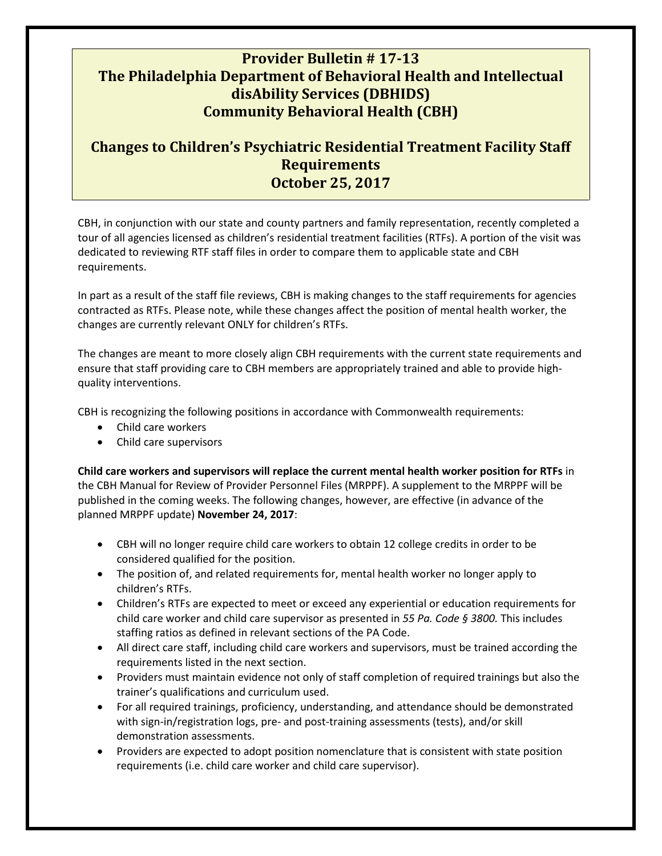## **Provider Bulletin # 17-13 The Philadelphia Department of Behavioral Health and Intellectual disAbility Services (DBHIDS) Community Behavioral Health (CBH)**

## **Changes to Children's Psychiatric Residential Treatment Facility Staff Requirements October 25, 2017**

CBH, in conjunction with our state and county partners and family representation, recently completed a tour of all agencies licensed as children's residential treatment facilities (RTFs). A portion of the visit was dedicated to reviewing RTF staff files in order to compare them to applicable state and CBH requirements.

In part as a result of the staff file reviews, CBH is making changes to the staff requirements for agencies contracted as RTFs. Please note, while these changes affect the position of mental health worker, the changes are currently relevant ONLY for children's RTFs.

The changes are meant to more closely align CBH requirements with the current state requirements and ensure that staff providing care to CBH members are appropriately trained and able to provide highquality interventions.

CBH is recognizing the following positions in accordance with Commonwealth requirements:

- Child care workers
- Child care supervisors

**Child care workers and supervisors will replace the current mental health worker position for RTFs** in the CBH Manual for Review of Provider Personnel Files (MRPPF). A supplement to the MRPPF will be published in the coming weeks. The following changes, however, are effective (in advance of the planned MRPPF update) **November 24, 2017**:

- CBH will no longer require child care workers to obtain 12 college credits in order to be considered qualified for the position.
- The position of, and related requirements for, mental health worker no longer apply to children's RTFs.
- Children's RTFs are expected to meet or exceed any experiential or education requirements for child care worker and child care supervisor as presented in *55 Pa. Code § 3800.* This includes staffing ratios as defined in relevant sections of the PA Code.
- All direct care staff, including child care workers and supervisors, must be trained according the requirements listed in the next section.
- Providers must maintain evidence not only of staff completion of required trainings but also the trainer's qualifications and curriculum used.
- For all required trainings, proficiency, understanding, and attendance should be demonstrated with sign-in/registration logs, pre- and post-training assessments (tests), and/or skill demonstration assessments.
- Providers are expected to adopt position nomenclature that is consistent with state position requirements (i.e. child care worker and child care supervisor).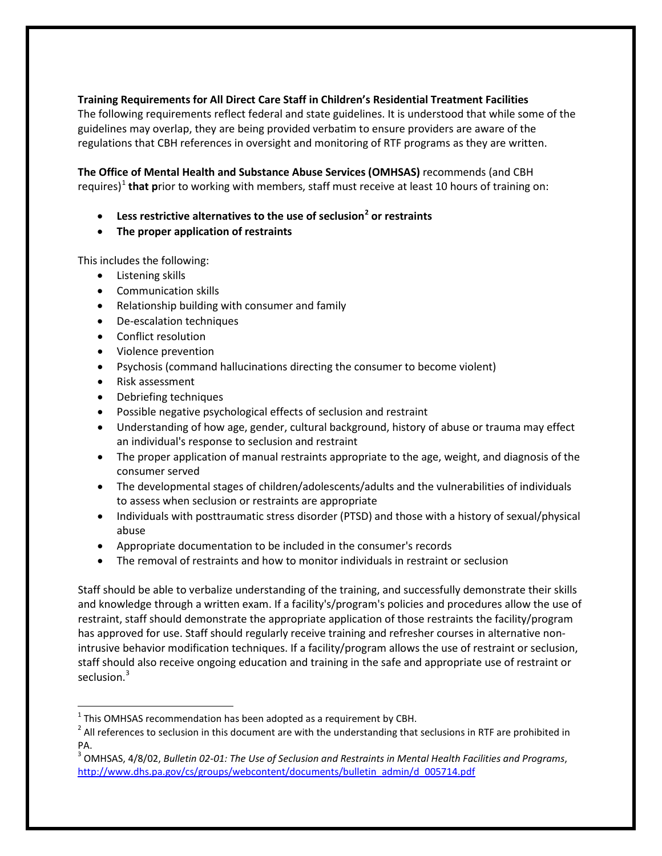**Training Requirements for All Direct Care Staff in Children's Residential Treatment Facilities**

The following requirements reflect federal and state guidelines. It is understood that while some of the guidelines may overlap, they are being provided verbatim to ensure providers are aware of the regulations that CBH references in oversight and monitoring of RTF programs as they are written.

**The Office of Mental Health and Substance Abuse Services (OMHSAS)** recommends (and CBH requires)<sup>[1](#page-1-0)</sup> that prior to working with members, staff must receive at least 10 hours of training on:

- **Less restrictive alternatives to the use of seclusion[2](#page-1-1) or restraints**
- **The proper application of restraints**

This includes the following:

- Listening skills
- Communication skills
- Relationship building with consumer and family
- De-escalation techniques
- Conflict resolution
- Violence prevention
- Psychosis (command hallucinations directing the consumer to become violent)
- Risk assessment

 $\overline{\phantom{a}}$ 

- Debriefing techniques
- Possible negative psychological effects of seclusion and restraint
- Understanding of how age, gender, cultural background, history of abuse or trauma may effect an individual's response to seclusion and restraint
- The proper application of manual restraints appropriate to the age, weight, and diagnosis of the consumer served
- The developmental stages of children/adolescents/adults and the vulnerabilities of individuals to assess when seclusion or restraints are appropriate
- Individuals with posttraumatic stress disorder (PTSD) and those with a history of sexual/physical abuse
- Appropriate documentation to be included in the consumer's records
- The removal of restraints and how to monitor individuals in restraint or seclusion

Staff should be able to verbalize understanding of the training, and successfully demonstrate their skills and knowledge through a written exam. If a facility's/program's policies and procedures allow the use of restraint, staff should demonstrate the appropriate application of those restraints the facility/program has approved for use. Staff should regularly receive training and refresher courses in alternative nonintrusive behavior modification techniques. If a facility/program allows the use of restraint or seclusion, staff should also receive ongoing education and training in the safe and appropriate use of restraint or seclusion.<sup>[3](#page-1-2)</sup>

<span id="page-1-0"></span> $1$  This OMHSAS recommendation has been adopted as a requirement by CBH.

<span id="page-1-1"></span> $2$  All references to seclusion in this document are with the understanding that seclusions in RTF are prohibited in PA.

<span id="page-1-2"></span><sup>3</sup> OMHSAS, 4/8/02, *Bulletin 02-01: The Use of Seclusion and Restraints in Mental Health Facilities and Programs*, [http://www.dhs.pa.gov/cs/groups/webcontent/documents/bulletin\\_admin/d\\_005714.pdf](http://www.dhs.pa.gov/cs/groups/webcontent/documents/bulletin_admin/d_005714.pdf)